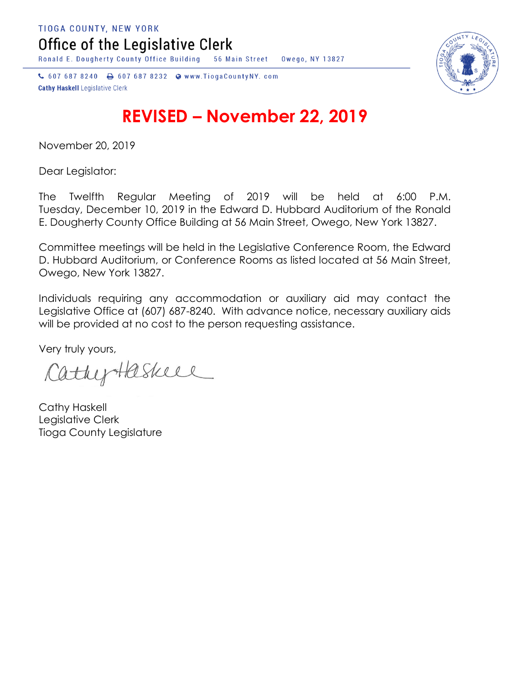TIOGA COUNTY, NEW YORK

Office of the Legislative Clerk

Ronald E. Dougherty County Office Building 56 Main Street Owego, NY 13827

↓ 607 687 8240 → 607 687 8232 → www.TiogaCountyNY.com **Cathy Haskell Legislative Clerk** 



## **REVISED – November 22, 2019**

November 20, 2019

Dear Legislator:

The Twelfth Regular Meeting of 2019 will be held at 6:00 P.M. Tuesday, December 10, 2019 in the Edward D. Hubbard Auditorium of the Ronald E. Dougherty County Office Building at 56 Main Street, Owego, New York 13827.

Committee meetings will be held in the Legislative Conference Room, the Edward D. Hubbard Auditorium, or Conference Rooms as listed located at 56 Main Street, Owego, New York 13827.

Individuals requiring any accommodation or auxiliary aid may contact the Legislative Office at (607) 687-8240. With advance notice, necessary auxiliary aids will be provided at no cost to the person requesting assistance.

Very truly yours,

CathyHaskee

Cathy Haskell Legislative Clerk Tioga County Legislature